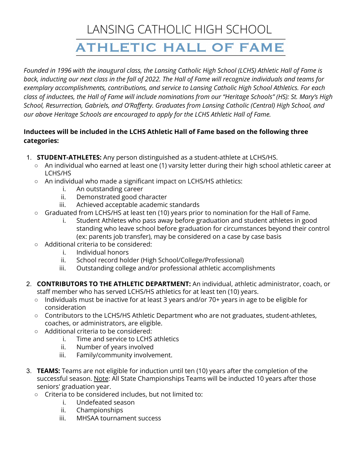# LANSING CATHOLIC HIGH SCHOOL **ATHLETIC HALL OF FAME**

Founded in 1996 with the inaugural class, the Lansing Catholic High School (LCHS) Athletic Hall of Fame is back, inducting our next class in the fall of 2022. The Hall of Fame will recognize individuals and teams for *exemplary accomplishments, contributions, and service to Lansing Catholic High School Athletics. For each* class of inductees, the Hall of Fame will include nominations from our "Heritage Schools" (HS): St. Mary's High *School, Resurrection, Gabriels, and O'Rafferty. Graduates from Lansing Catholic (Central) High School, and our above Heritage Schools are encouraged to apply for the LCHS Athletic Hall of Fame.*

#### **Inductees will be included in the LCHS Athletic Hall of Fame based on the following three categories:**

- 1. **STUDENT-ATHLETES:** Any person distinguished as a student-athlete at LCHS/HS.
	- An individual who earned at least one (1) varsity letter during their high school athletic career at LCHS/HS
	- An individual who made a significant impact on LCHS/HS athletics:
		- i. An outstanding career
		- ii. Demonstrated good character
		- iii. Achieved acceptable academic standards
	- Graduated from LCHS/HS at least ten (10) years prior to nomination for the Hall of Fame.
		- i. Student Athletes who pass away before graduation and student athletes in good standing who leave school before graduation for circumstances beyond their control (ex: parents job transfer), may be considered on a case by case basis
	- Additional criteria to be considered:
		- i. Individual honors
		- ii. School record holder (High School/College/Professional)
		- iii. Outstanding college and/or professional athletic accomplishments
- 2. **CONTRIBUTORS TO THE ATHLETIC DEPARTMENT:** An individual, athletic administrator, coach, or staff member who has served LCHS/HS athletics for at least ten (10) years.
	- Individuals must be inactive for at least 3 years and/or 70+ years in age to be eligible for consideration
	- Contributors to the LCHS/HS Athletic Department who are not graduates, student-athletes, coaches, or administrators, are eligible.
	- Additional criteria to be considered:
		- i. Time and service to LCHS athletics
		- ii. Number of years involved
		- iii. Family/community involvement.
- 3. **TEAMS:** Teams are not eligible for induction until ten (10) years after the completion of the successful season. Note: All State Championships Teams will be inducted 10 years after those seniors' graduation year.
	- Criteria to be considered includes, but not limited to:
		- i. Undefeated season
		- ii. Championships
		- iii. MHSAA tournament success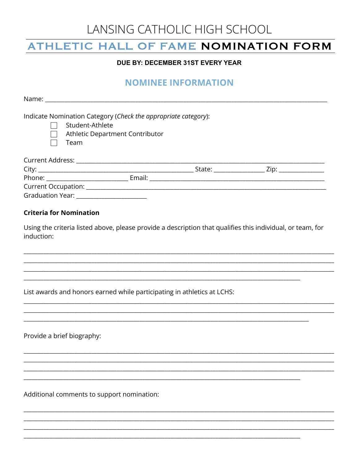# LANSING CATHOLIC HIGH SCHOOL

### ATHLETIC HALL OF FAME NOMINATION FORM

#### DUE BY: DECEMBER 31ST EVERY YEAR

### **NOMINEE INFORMATION**

Indicate Nomination Category (Check the appropriate category):

Student-Athlete  $\Box$ 

Athletic Department Contributor

Team

| Current Address:        |        |        |      |  |
|-------------------------|--------|--------|------|--|
| City:                   |        | State: | Zip: |  |
| Phone:                  | Email: |        |      |  |
| Current Occupation:     |        |        |      |  |
| <b>Graduation Year:</b> |        |        |      |  |

### **Criteria for Nomination**

Using the criteria listed above, please provide a description that qualifies this individual, or team, for induction:

List awards and honors earned while participating in athletics at LCHS:

Provide a brief biography:

Additional comments to support nomination: